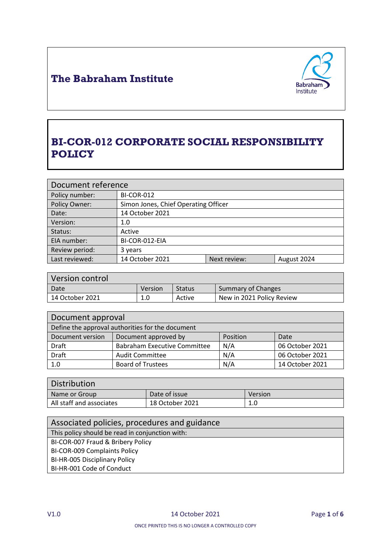

# **BI-COR-012 CORPORATE SOCIAL RESPONSIBILITY POLICY**

| Document reference |                                      |              |             |
|--------------------|--------------------------------------|--------------|-------------|
| Policy number:     | <b>BI-COR-012</b>                    |              |             |
| Policy Owner:      | Simon Jones, Chief Operating Officer |              |             |
| Date:              | 14 October 2021                      |              |             |
| Version:           | 1.0                                  |              |             |
| Status:            | Active                               |              |             |
| EIA number:        | BI-COR-012-EIA                       |              |             |
| Review period:     | 3 years                              |              |             |
| Last reviewed:     | 14 October 2021                      | Next review: | August 2024 |

| Version control |         |               |                           |
|-----------------|---------|---------------|---------------------------|
| Date            | Version | <b>Status</b> | Summary of Changes        |
| 14 October 2021 | 1.0     | Active        | New in 2021 Policy Review |

| Document approval                                |                                     |          |                 |
|--------------------------------------------------|-------------------------------------|----------|-----------------|
| Define the approval authorities for the document |                                     |          |                 |
| Document version                                 | Document approved by                | Position | Date            |
| <b>Draft</b>                                     | <b>Babraham Executive Committee</b> | N/A      | 06 October 2021 |
| <b>Draft</b>                                     | <b>Audit Committee</b>              | N/A      | 06 October 2021 |
| 1.0                                              | <b>Board of Trustees</b>            | N/A      | 14 October 2021 |

| <b>Distribution</b>      |                 |         |
|--------------------------|-----------------|---------|
| Name or Group            | Date of issue   | Version |
| All staff and associates | 18 October 2021 | 1.0     |
|                          |                 |         |

| Associated policies, procedures and guidance    |
|-------------------------------------------------|
| This policy should be read in conjunction with: |
| BI-COR-007 Fraud & Bribery Policy               |
| <b>BI-COR-009 Complaints Policy</b>             |
| BI-HR-005 Disciplinary Policy                   |
| BI-HR-001 Code of Conduct                       |
|                                                 |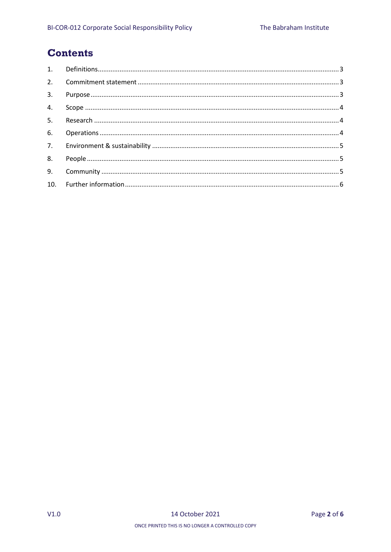## **Contents**

| 3. |  |
|----|--|
|    |  |
|    |  |
|    |  |
|    |  |
|    |  |
|    |  |
|    |  |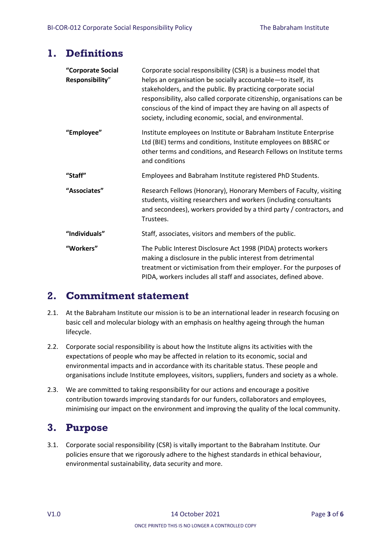# <span id="page-2-0"></span>**1. Definitions**

| "Corporate Social<br>Responsibility" | Corporate social responsibility (CSR) is a business model that<br>helps an organisation be socially accountable-to itself, its<br>stakeholders, and the public. By practicing corporate social<br>responsibility, also called corporate citizenship, organisations can be |  |
|--------------------------------------|---------------------------------------------------------------------------------------------------------------------------------------------------------------------------------------------------------------------------------------------------------------------------|--|
|                                      | conscious of the kind of impact they are having on all aspects of<br>society, including economic, social, and environmental.                                                                                                                                              |  |
| "Employee"                           | Institute employees on Institute or Babraham Institute Enterprise<br>Ltd (BIE) terms and conditions, Institute employees on BBSRC or<br>other terms and conditions, and Research Fellows on Institute terms<br>and conditions                                             |  |
| "Staff"                              | Employees and Babraham Institute registered PhD Students.                                                                                                                                                                                                                 |  |
| "Associates"                         | Research Fellows (Honorary), Honorary Members of Faculty, visiting<br>students, visiting researchers and workers (including consultants<br>and secondees), workers provided by a third party / contractors, and<br>Trustees.                                              |  |
| "Individuals"                        | Staff, associates, visitors and members of the public.                                                                                                                                                                                                                    |  |
| "Workers"                            | The Public Interest Disclosure Act 1998 (PIDA) protects workers<br>making a disclosure in the public interest from detrimental<br>treatment or victimisation from their employer. For the purposes of<br>PIDA, workers includes all staff and associates, defined above.  |  |

# <span id="page-2-1"></span>**2. Commitment statement**

- 2.1. At the Babraham Institute our mission is to be an international leader in research focusing on basic cell and molecular biology with an emphasis on healthy ageing through the human lifecycle.
- 2.2. Corporate social responsibility is about how the Institute aligns its activities with the expectations of people who may be affected in relation to its economic, social and environmental impacts and in accordance with its charitable status. These people and organisations include Institute employees, visitors, suppliers, funders and society as a whole.
- 2.3. We are committed to taking responsibility for our actions and encourage a positive contribution towards improving standards for our funders, collaborators and employees, minimising our impact on the environment and improving the quality of the local community.

# <span id="page-2-2"></span>**3. Purpose**

3.1. Corporate social responsibility (CSR) is vitally important to the Babraham Institute. Our policies ensure that we rigorously adhere to the highest standards in ethical behaviour, environmental sustainability, data security and more.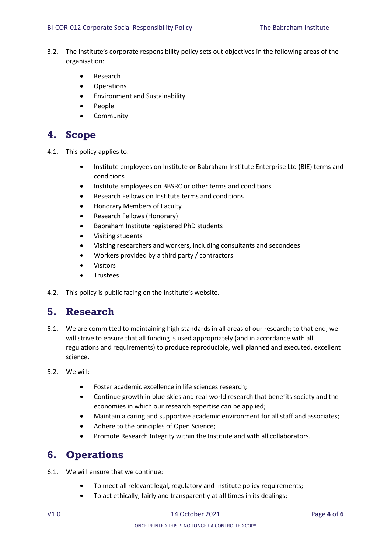- 3.2. The Institute's corporate responsibility policy sets out objectives in the following areas of the organisation:
	- Research
	- Operations
	- Environment and Sustainability
	- People
	- **Community**

#### <span id="page-3-0"></span>**4. Scope**

- 4.1. This policy applies to:
	- Institute employees on Institute or Babraham Institute Enterprise Ltd (BIE) terms and conditions
	- Institute employees on BBSRC or other terms and conditions
	- Research Fellows on Institute terms and conditions
	- Honorary Members of Faculty
	- Research Fellows (Honorary)
	- Babraham Institute registered PhD students
	- Visiting students
	- Visiting researchers and workers, including consultants and secondees
	- Workers provided by a third party / contractors
	- Visitors
	- **•** Trustees
- 4.2. This policy is public facing on the Institute's website.

#### <span id="page-3-1"></span>**5. Research**

- 5.1. We are committed to maintaining high standards in all areas of our research; to that end, we will strive to ensure that all funding is used appropriately (and in accordance with all regulations and requirements) to produce reproducible, well planned and executed, excellent science.
- 5.2. We will:
	- Foster academic excellence in life sciences research;
	- Continue growth in blue-skies and real-world research that benefits society and the economies in which our research expertise can be applied;
	- Maintain a caring and supportive academic environment for all staff and associates;
	- Adhere to the principles of Open Science;
	- Promote Research Integrity within the Institute and with all collaborators.

### <span id="page-3-2"></span>**6. Operations**

- 6.1. We will ensure that we continue:
	- To meet all relevant legal, regulatory and Institute policy requirements;
	- To act ethically, fairly and transparently at all times in its dealings;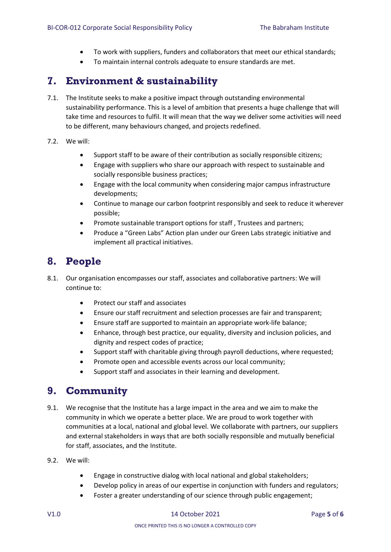- To work with suppliers, funders and collaborators that meet our ethical standards;
- To maintain internal controls adequate to ensure standards are met.

### <span id="page-4-0"></span>**7. Environment & sustainability**

- 7.1. The Institute seeks to make a positive impact through outstanding environmental sustainability performance. This is a level of ambition that presents a huge challenge that will take time and resources to fulfil. It will mean that the way we deliver some activities will need to be different, many behaviours changed, and projects redefined.
- 7.2. We will:
	- Support staff to be aware of their contribution as socially responsible citizens;
	- Engage with suppliers who share our approach with respect to sustainable and socially responsible business practices;
	- Engage with the local community when considering major campus infrastructure developments;
	- Continue to manage our carbon footprint responsibly and seek to reduce it wherever possible;
	- Promote sustainable transport options for staff , Trustees and partners;
	- Produce a "Green Labs" Action plan under our Green Labs strategic initiative and implement all practical initiatives.

## <span id="page-4-1"></span>**8. People**

- 8.1. Our organisation encompasses our staff, associates and collaborative partners: We will continue to:
	- Protect our staff and associates
	- Ensure our staff recruitment and selection processes are fair and transparent;
	- Ensure staff are supported to maintain an appropriate work-life balance;
	- Enhance, through best practice, our equality, diversity and inclusion policies, and dignity and respect codes of practice;
	- Support staff with charitable giving through payroll deductions, where requested;
	- Promote open and accessible events across our local community;
	- Support staff and associates in their learning and development.

### <span id="page-4-2"></span>**9. Community**

- 9.1. We recognise that the Institute has a large impact in the area and we aim to make the community in which we operate a better place. We are proud to work together with communities at a local, national and global level. We collaborate with partners, our suppliers and external stakeholders in ways that are both socially responsible and mutually beneficial for staff, associates, and the Institute.
- 9.2. We will:
	- Engage in constructive dialog with local national and global stakeholders;
	- Develop policy in areas of our expertise in conjunction with funders and regulators;
	- Foster a greater understanding of our science through public engagement;